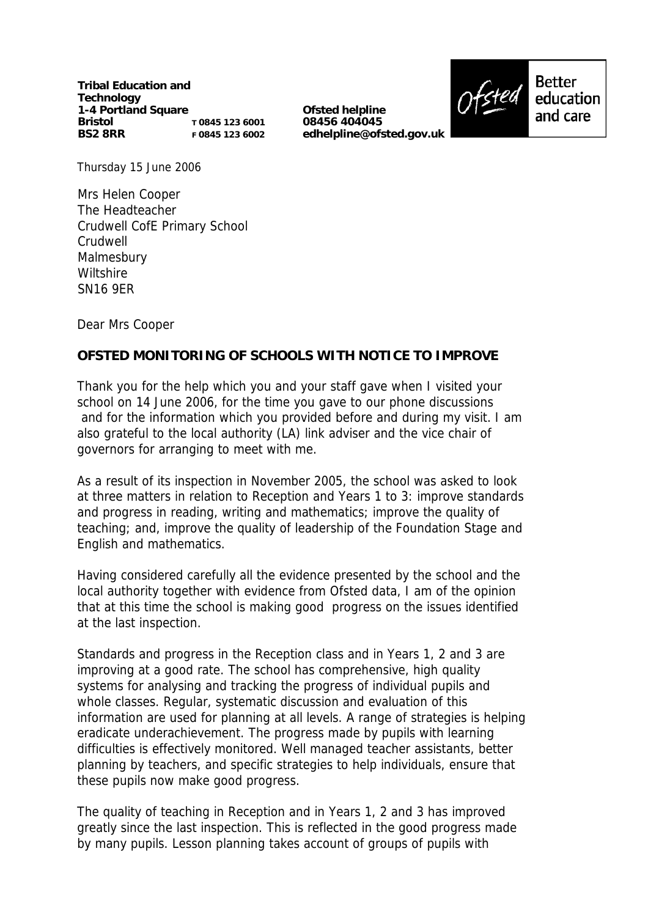**Tribal Education and Technology 1-4 Portland Square Bristol BS2 8RR T 0845 123 6001 F 0845 123 6002**

**Ofsted helpline 08456 404045 edhelpline@ofsted.gov.uk**



Thursday 15 June 2006

Mrs Helen Cooper The Headteacher Crudwell CofE Primary School Crudwell Malmesbury **Wiltshire** SN16 9ER

Dear Mrs Cooper

## **OFSTED MONITORING OF SCHOOLS WITH NOTICE TO IMPROVE**

Thank you for the help which you and your staff gave when I visited your school on 14 June 2006, for the time you gave to our phone discussions and for the information which you provided before and during my visit. I am also grateful to the local authority (LA) link adviser and the vice chair of governors for arranging to meet with me.

As a result of its inspection in November 2005, the school was asked to look at three matters in relation to Reception and Years 1 to 3: improve standards and progress in reading, writing and mathematics; improve the quality of teaching; and, improve the quality of leadership of the Foundation Stage and English and mathematics.

Having considered carefully all the evidence presented by the school and the local authority together with evidence from Ofsted data, I am of the opinion that at this time the school is making good progress on the issues identified at the last inspection.

Standards and progress in the Reception class and in Years 1, 2 and 3 are improving at a good rate. The school has comprehensive, high quality systems for analysing and tracking the progress of individual pupils and whole classes. Regular, systematic discussion and evaluation of this information are used for planning at all levels. A range of strategies is helping eradicate underachievement. The progress made by pupils with learning difficulties is effectively monitored. Well managed teacher assistants, better planning by teachers, and specific strategies to help individuals, ensure that these pupils now make good progress.

The quality of teaching in Reception and in Years 1, 2 and 3 has improved greatly since the last inspection. This is reflected in the good progress made by many pupils. Lesson planning takes account of groups of pupils with